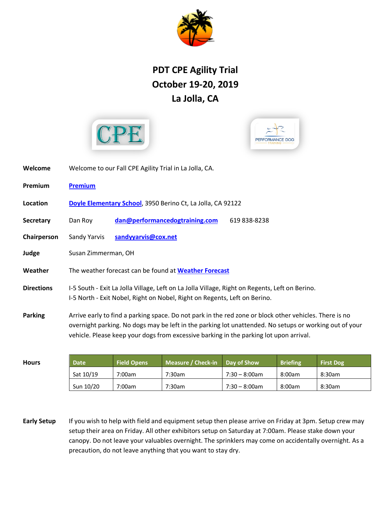

## **PDT CPE Agility Trial October 19-20, 2019 La Jolla, CA**





| Welcome           | Welcome to our Fall CPE Agility Trial in La Jolla, CA.                                                                                                                                                                                                                                                     |  |  |  |  |  |  |
|-------------------|------------------------------------------------------------------------------------------------------------------------------------------------------------------------------------------------------------------------------------------------------------------------------------------------------------|--|--|--|--|--|--|
| Premium           | <b>Premium</b>                                                                                                                                                                                                                                                                                             |  |  |  |  |  |  |
| Location          | Doyle Elementary School, 3950 Berino Ct, La Jolla, CA 92122                                                                                                                                                                                                                                                |  |  |  |  |  |  |
| <b>Secretary</b>  | dan@performancedogtraining.com<br>Dan Roy<br>619 838-8238                                                                                                                                                                                                                                                  |  |  |  |  |  |  |
| Chairperson       | Sandy Yarvis<br>sandyyarvis@cox.net                                                                                                                                                                                                                                                                        |  |  |  |  |  |  |
| Judge             | Susan Zimmerman, OH                                                                                                                                                                                                                                                                                        |  |  |  |  |  |  |
| Weather           | The weather forecast can be found at <b>Weather Forecast</b>                                                                                                                                                                                                                                               |  |  |  |  |  |  |
| <b>Directions</b> | I-5 South - Exit La Jolla Village, Left on La Jolla Village, Right on Regents, Left on Berino.<br>I-5 North - Exit Nobel, Right on Nobel, Right on Regents, Left on Berino.                                                                                                                                |  |  |  |  |  |  |
| <b>Parking</b>    | Arrive early to find a parking space. Do not park in the red zone or block other vehicles. There is no<br>overnight parking. No dogs may be left in the parking lot unattended. No setups or working out of your<br>vehicle. Please keep your dogs from excessive barking in the parking lot upon arrival. |  |  |  |  |  |  |
|                   |                                                                                                                                                                                                                                                                                                            |  |  |  |  |  |  |

| <b>Hours</b> | Date      | <b>Field Opens</b> | Measure / Check-in Day of Show |                  | <b>Briefing</b> | <b>First Dog</b> |
|--------------|-----------|--------------------|--------------------------------|------------------|-----------------|------------------|
|              | Sat 10/19 | 7:00am             | 7:30am                         | 7:30 - 8:00am    | 8:00am          | 8:30am           |
|              | Sun 10/20 | 7:00am             | 7:30am                         | $7:30 - 8:00$ am | 8:00am          | 8:30am           |

**Early Setup** If you wish to help with field and equipment setup then please arrive on Friday at 3pm. Setup crew may setup their area on Friday. All other exhibitors setup on Saturday at 7:00am. Please stake down your canopy. Do not leave your valuables overnight. The sprinklers may come on accidentally overnight. As a precaution, do not leave anything that you want to stay dry.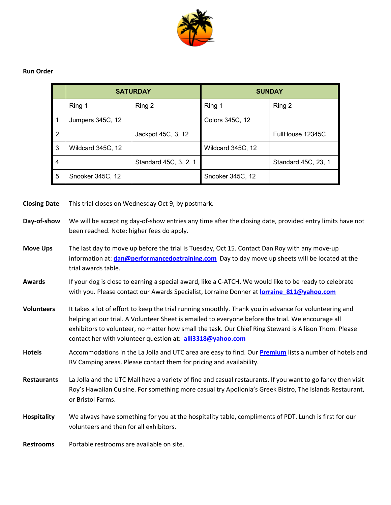

## **Run Order**

|                |                   | <b>SATURDAY</b>       | <b>SUNDAY</b>     |                     |  |
|----------------|-------------------|-----------------------|-------------------|---------------------|--|
|                | Ring 1            | Ring 2                | Ring 1            | Ring 2              |  |
|                | Jumpers 345C, 12  |                       | Colors 345C, 12   |                     |  |
| $\overline{2}$ |                   | Jackpot 45C, 3, 12    |                   | FullHouse 12345C    |  |
| 3              | Wildcard 345C, 12 |                       | Wildcard 345C, 12 |                     |  |
| 4              |                   | Standard 45C, 3, 2, 1 |                   | Standard 45C, 23, 1 |  |
| 5              | Snooker 345C, 12  |                       | Snooker 345C, 12  |                     |  |

**Closing Date** This trial closes on Wednesday Oct 9, by postmark.

- **Move Ups** The last day to move up before the trial is Tuesday, Oct 15. Contact Dan Roy with any move-up information at: **[dan@performancedogtraining.com](mailto:dan@performancedogtraining.com)** Day to day move up sheets will be located at the trial awards table.
- **Awards** If your dog is close to earning a special award, like a C-ATCH. We would like to be ready to celebrate with you. Please contact our Awards Specialist, Lorraine Donner at **[lorraine\\_811@yahoo.com](mailto:lorraine_811@yahoo.com)**
- **Volunteers** It takes a lot of effort to keep the trial running smoothly. Thank you in advance for volunteering and helping at our trial. A Volunteer Sheet is emailed to everyone before the trial. We encourage all exhibitors to volunteer, no matter how small the task. Our Chief Ring Steward is Allison Thom. Please contact her with volunteer question at: **[alli3318@yahoo.com](mailto:alli3318@yahoo.com)**
- **Hotels** Accommodations in the La Jolla and UTC area are easy to find. Our **[Premium](http://www.performancedogtraining.com/wp-content/uploads/PDTCPEPremium_Oct2019.pdf)** lists a number of hotels and RV Camping areas. Please contact them for pricing and availability.
- **Restaurants** La Jolla and the UTC Mall have a variety of fine and casual restaurants. If you want to go fancy then visit Roy's Hawaiian Cuisine. For something more casual try Apollonia's Greek Bistro, The Islands Restaurant, or Bristol Farms.
- **Hospitality** We always have something for you at the hospitality table, compliments of PDT. Lunch is first for our volunteers and then for all exhibitors.

**Restrooms** Portable restrooms are available on site.

**Day-of-show** We will be accepting day-of-show entries any time after the closing date, provided entry limits have not been reached. Note: higher fees do apply.